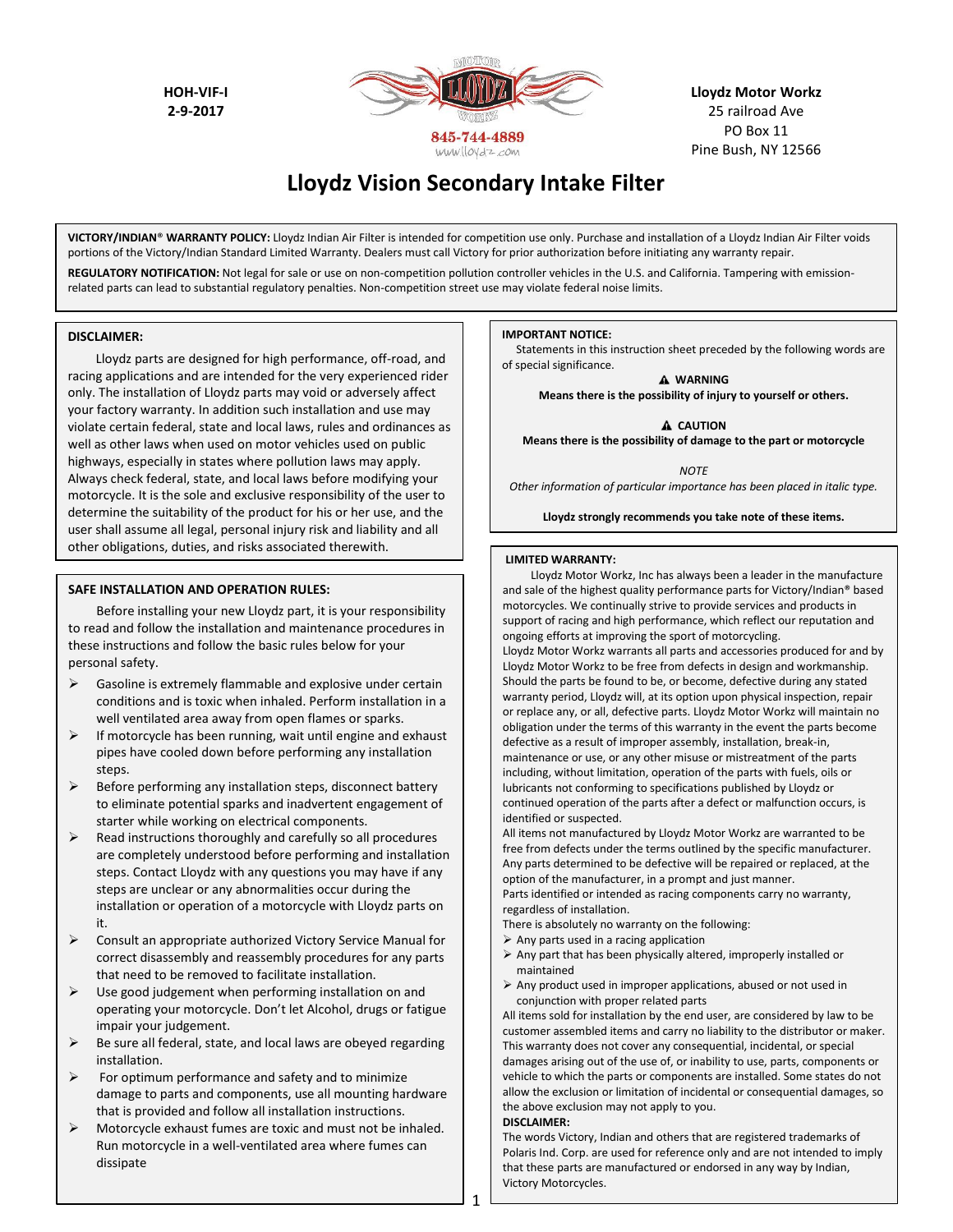**HOH-VIF-I 2-9-2017**



**Lloydz Motor Workz** 25 railroad Ave PO Box 11 Pine Bush, NY 12566

# **Lloydz Vision Secondary Intake Filter**

**VICTORY/INDIAN**® **WARRANTY POLICY:** Lloydz Indian Air Filter is intended for competition use only. Purchase and installation of a Lloydz Indian Air Filter voids portions of the Victory/Indian Standard Limited Warranty. Dealers must call Victory for prior authorization before initiating any warranty repair.

REGULATORY NOTIFICATION: Not legal for sale or use on non-competition pollution controller vehicles in the U.S. and California. Tampering with emissionrelated parts can lead to substantial regulatory penalties. Non-competition street use may violate federal noise limits.

#### **DISCLAIMER:**

Lloydz parts are designed for high performance, off-road, and racing applications and are intended for the very experienced rider only. The installation of Lloydz parts may void or adversely affect your factory warranty. In addition such installation and use may violate certain federal, state and local laws, rules and ordinances as well as other laws when used on motor vehicles used on public highways, especially in states where pollution laws may apply. Always check federal, state, and local laws before modifying your motorcycle. It is the sole and exclusive responsibility of the user to determine the suitability of the product for his or her use, and the user shall assume all legal, personal injury risk and liability and all other obligations, duties, and risks associated therewith.

#### **SAFE INSTALLATION AND OPERATION RULES:**

Before installing your new Lloydz part, it is your responsibility to read and follow the installation and maintenance procedures in these instructions and follow the basic rules below for your personal safety.

- $\triangleright$  Gasoline is extremely flammable and explosive under certain conditions and is toxic when inhaled. Perform installation in a well ventilated area away from open flames or sparks.
- $\triangleright$  If motorcycle has been running, wait until engine and exhaust pipes have cooled down before performing any installation steps.
- $\triangleright$  Before performing any installation steps, disconnect battery to eliminate potential sparks and inadvertent engagement of starter while working on electrical components.
- $\triangleright$  Read instructions thoroughly and carefully so all procedures are completely understood before performing and installation steps. Contact Lloydz with any questions you may have if any steps are unclear or any abnormalities occur during the installation or operation of a motorcycle with Lloydz parts on it.
- $\triangleright$  Consult an appropriate authorized Victory Service Manual for correct disassembly and reassembly procedures for any parts that need to be removed to facilitate installation.
- Use good judgement when performing installation on and operating your motorcycle. Don't let Alcohol, drugs or fatigue impair your judgement.
- $\triangleright$  Be sure all federal, state, and local laws are obeyed regarding installation.
- $\triangleright$  For optimum performance and safety and to minimize damage to parts and components, use all mounting hardware that is provided and follow all installation instructions.
- $\triangleright$  Motorcycle exhaust fumes are toxic and must not be inhaled. Run motorcycle in a well-ventilated area where fumes can dissipate

#### **IMPORTANT NOTICE:**

Statements in this instruction sheet preceded by the following words are of special significance.

**WARNING Means there is the possibility of injury to yourself or others.**

**A** CAUTION

**Means there is the possibility of damage to the part or motorcycle**

*NOTE*

*Other information of particular importance has been placed in italic type.*

**Lloydz strongly recommends you take note of these items.**

#### **LIMITED WARRANTY:**

Lloydz Motor Workz, Inc has always been a leader in the manufacture and sale of the highest quality performance parts for Victory/Indian® based motorcycles. We continually strive to provide services and products in support of racing and high performance, which reflect our reputation and ongoing efforts at improving the sport of motorcycling.

Lloydz Motor Workz warrants all parts and accessories produced for and by Lloydz Motor Workz to be free from defects in design and workmanship. Should the parts be found to be, or become, defective during any stated warranty period, Lloydz will, at its option upon physical inspection, repair or replace any, or all, defective parts. Lloydz Motor Workz will maintain no obligation under the terms of this warranty in the event the parts become defective as a result of improper assembly, installation, break-in, maintenance or use, or any other misuse or mistreatment of the parts including, without limitation, operation of the parts with fuels, oils or lubricants not conforming to specifications published by Lloydz or continued operation of the parts after a defect or malfunction occurs, is identified or suspected.

All items not manufactured by Lloydz Motor Workz are warranted to be free from defects under the terms outlined by the specific manufacturer. Any parts determined to be defective will be repaired or replaced, at the option of the manufacturer, in a prompt and just manner. Parts identified or intended as racing components carry no warranty, regardless of installation.

There is absolutely no warranty on the following:

- $\triangleright$  Any parts used in a racing application
- $\triangleright$  Any part that has been physically altered, improperly installed or maintained
- $\triangleright$  Any product used in improper applications, abused or not used in conjunction with proper related parts

All items sold for installation by the end user, are considered by law to be customer assembled items and carry no liability to the distributor or maker. This warranty does not cover any consequential, incidental, or special damages arising out of the use of, or inability to use, parts, components or vehicle to which the parts or components are installed. Some states do not allow the exclusion or limitation of incidental or consequential damages, so the above exclusion may not apply to you.

#### **DISCLAIMER:**

The words Victory, Indian and others that are registered trademarks of Polaris Ind. Corp. are used for reference only and are not intended to imply that these parts are manufactured or endorsed in any way by Indian, Victory Motorcycles.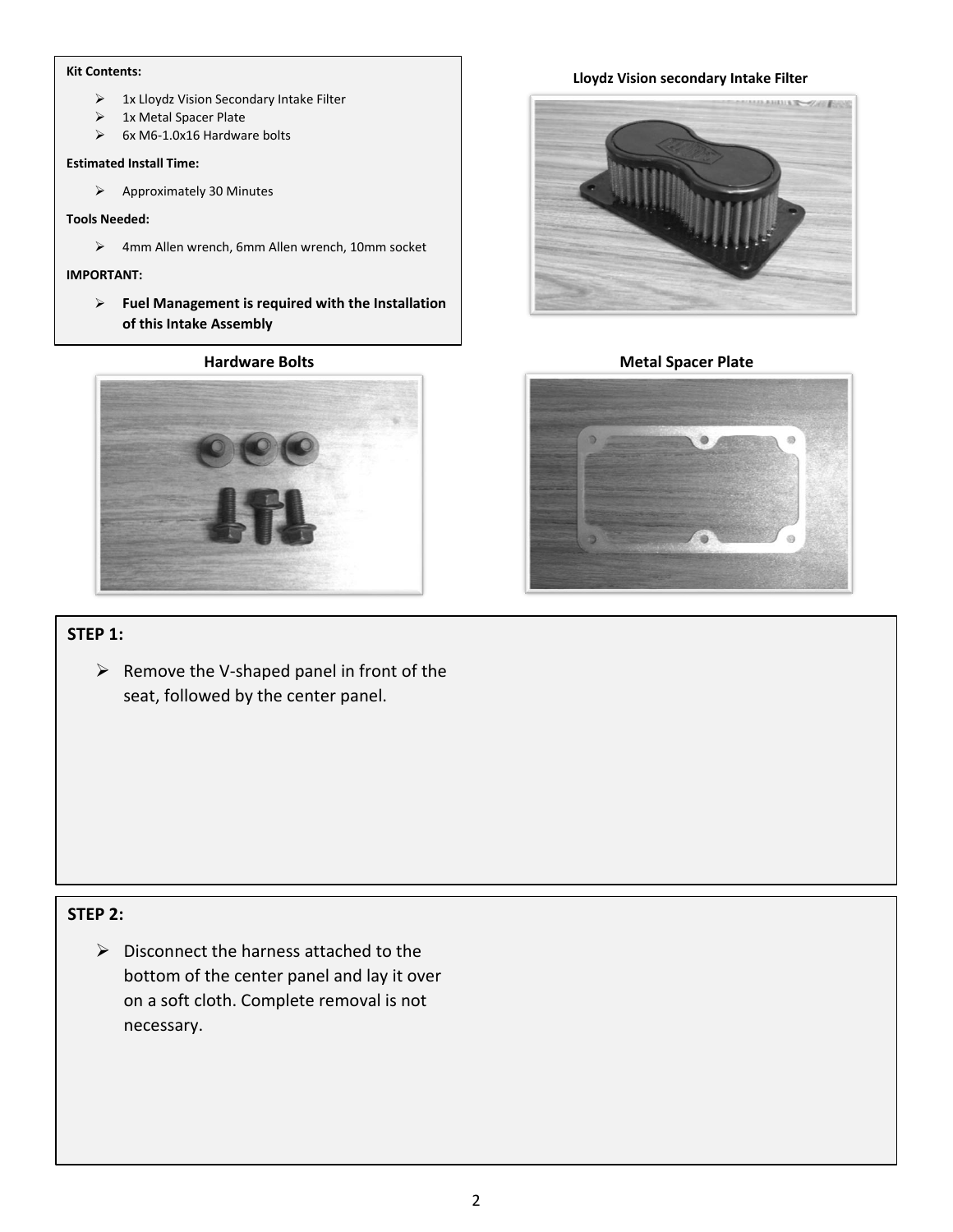- $\triangleright$  1x Lloydz Vision Secondary Intake Filter
- > 1x Metal Spacer Plate
- $\geq$  6x M6-1.0x16 Hardware bolts

#### **Estimated Install Time:**

 $\triangleright$  Approximately 30 Minutes

#### **Tools Needed:**

4mm Allen wrench, 6mm Allen wrench, 10mm socket

### **IMPORTANT:**

 **Fuel Management is required with the Installation of this Intake Assembly**

#### **Hardware Bolts**



## **STEP 1:**

 $\triangleright$  Remove the V-shaped panel in front of the seat, followed by the center panel.

## **STEP 2:**

 $\triangleright$  Disconnect the harness attached to the bottom of the center panel and lay it over on a soft cloth. Complete removal is not necessary.

# **Lloydz Vision secondary Intake Filter Kit Contents:**



#### **Metal Spacer Plate**